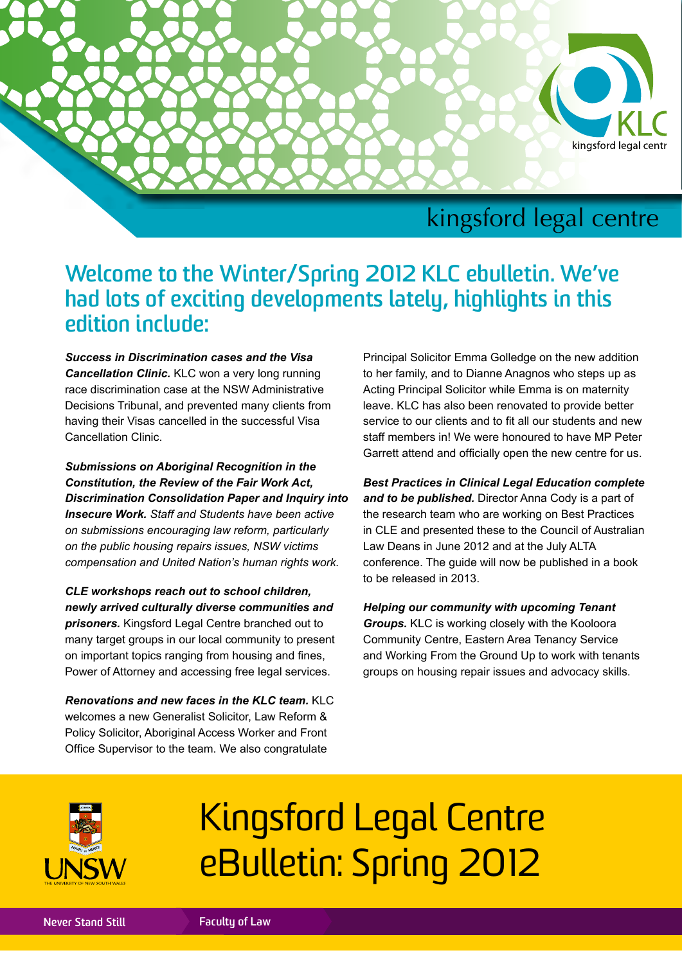

## kingsford legal centre

## **Welcome to the Winter/Spring 2012 KLC ebulletin. We've had lots of exciting developments lately, highlights in this edition include:**

*Success in Discrimination cases and the Visa Cancellation Clinic.* KLC won a very long running race discrimination case at the NSW Administrative Decisions Tribunal, and prevented many clients from having their Visas cancelled in the successful Visa Cancellation Clinic.

*Submissions on Aboriginal Recognition in the Constitution, the Review of the Fair Work Act, Discrimination Consolidation Paper and Inquiry into Insecure Work. Staff and Students have been active on submissions encouraging law reform, particularly on the public housing repairs issues, NSW victims compensation and United Nation's human rights work.*

*CLE workshops reach out to school children, newly arrived culturally diverse communities and prisoners.* Kingsford Legal Centre branched out to many target groups in our local community to present on important topics ranging from housing and fines, Power of Attorney and accessing free legal services.

*Renovations and new faces in the KLC team.* KLC welcomes a new Generalist Solicitor, Law Reform & Policy Solicitor, Aboriginal Access Worker and Front Office Supervisor to the team. We also congratulate

Principal Solicitor Emma Golledge on the new addition to her family, and to Dianne Anagnos who steps up as Acting Principal Solicitor while Emma is on maternity leave. KLC has also been renovated to provide better service to our clients and to fit all our students and new staff members in! We were honoured to have MP Peter Garrett attend and officially open the new centre for us.

*Best Practices in Clinical Legal Education complete and to be published.* Director Anna Cody is a part of the research team who are working on Best Practices in CLE and presented these to the Council of Australian Law Deans in June 2012 and at the July ALTA conference. The guide will now be published in a book to be released in 2013.

*Helping our community with upcoming Tenant Groups.* KLC is working closely with the Kooloora Community Centre, Eastern Area Tenancy Service and Working From the Ground Up to work with tenants groups on housing repair issues and advocacy skills.



# Kingsford Legal Centre eBulletin: Spring 2012

**Never Stand Still Faculty of Law**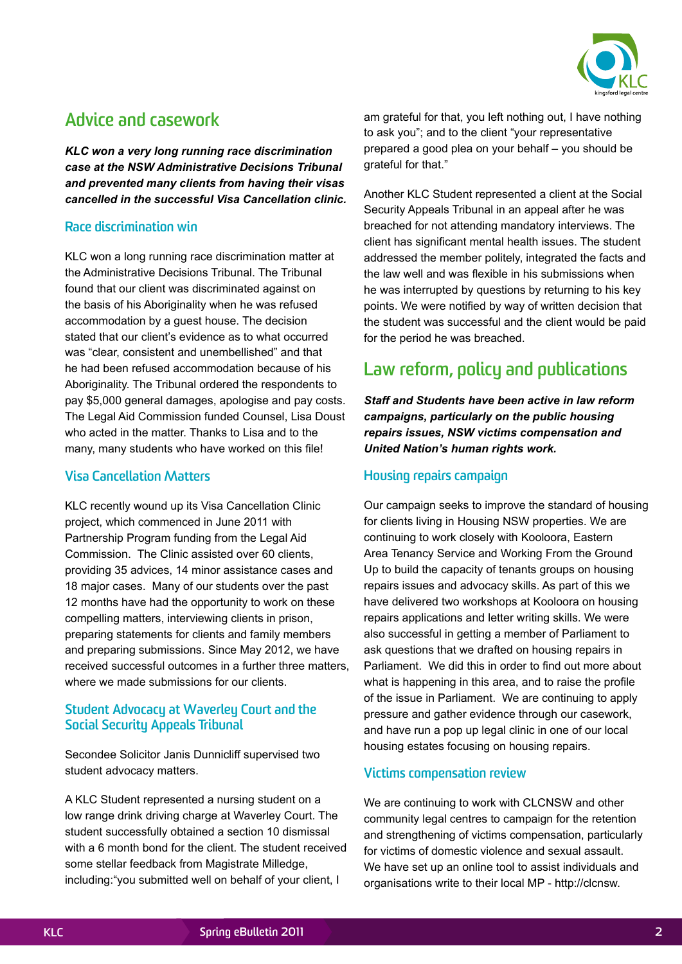

## **Advice and casework**

*KLC won a very long running race discrimination case at the NSW Administrative Decisions Tribunal and prevented many clients from having their visas cancelled in the successful Visa Cancellation clinic.*

#### **Race discrimination win**

KLC won a long running race discrimination matter at the Administrative Decisions Tribunal. The Tribunal found that our client was discriminated against on the basis of his Aboriginality when he was refused accommodation by a guest house. The decision stated that our client's evidence as to what occurred was "clear, consistent and unembellished" and that he had been refused accommodation because of his Aboriginality. The Tribunal ordered the respondents to pay \$5,000 general damages, apologise and pay costs. The Legal Aid Commission funded Counsel, Lisa Doust who acted in the matter. Thanks to Lisa and to the many, many students who have worked on this file!

#### **Visa Cancellation Matters**

KLC recently wound up its Visa Cancellation Clinic project, which commenced in June 2011 with Partnership Program funding from the Legal Aid Commission. The Clinic assisted over 60 clients, providing 35 advices, 14 minor assistance cases and 18 major cases. Many of our students over the past 12 months have had the opportunity to work on these compelling matters, interviewing clients in prison, preparing statements for clients and family members and preparing submissions. Since May 2012, we have received successful outcomes in a further three matters, where we made submissions for our clients.

#### **Student Advocacy at Waverley Court and the Social Security Appeals Tribunal**

Secondee Solicitor Janis Dunnicliff supervised two student advocacy matters.

A KLC Student represented a nursing student on a low range drink driving charge at Waverley Court. The student successfully obtained a section 10 dismissal with a 6 month bond for the client. The student received some stellar feedback from Magistrate Milledge, including:"you submitted well on behalf of your client, I

am grateful for that, you left nothing out, I have nothing to ask you"; and to the client "your representative prepared a good plea on your behalf – you should be grateful for that."

Another KLC Student represented a client at the Social Security Appeals Tribunal in an appeal after he was breached for not attending mandatory interviews. The client has significant mental health issues. The student addressed the member politely, integrated the facts and the law well and was flexible in his submissions when he was interrupted by questions by returning to his key points. We were notified by way of written decision that the student was successful and the client would be paid for the period he was breached.

## **Law reform, policy and publications**

*Staff and Students have been active in law reform campaigns, particularly on the public housing repairs issues, NSW victims compensation and United Nation's human rights work.* 

#### **Housing repairs campaign**

Our campaign seeks to improve the standard of housing for clients living in Housing NSW properties. We are continuing to work closely with Kooloora, Eastern Area Tenancy Service and Working From the Ground Up to build the capacity of tenants groups on housing repairs issues and advocacy skills. As part of this we have delivered two workshops at Kooloora on housing repairs applications and letter writing skills. We were also successful in getting a member of Parliament to ask questions that we drafted on housing repairs in Parliament. We did this in order to find out more about what is happening in this area, and to raise the profile of the issue in Parliament. We are continuing to apply pressure and gather evidence through our casework, and have run a pop up legal clinic in one of our local housing estates focusing on housing repairs.

#### **Victims compensation review**

We are continuing to work with CLCNSW and other community legal centres to campaign for the retention and strengthening of victims compensation, particularly for victims of domestic violence and sexual assault. We have set up an online tool to assist individuals and organisations write to their local MP - http://clcnsw.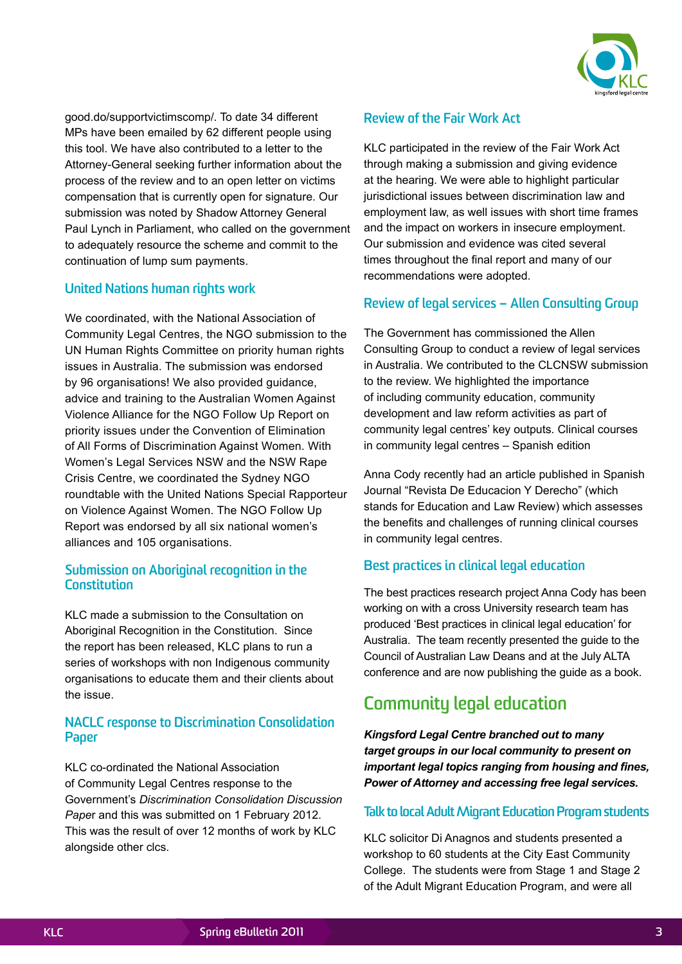

good.do/supportvictimscomp/. To date 34 different MPs have been emailed by 62 different people using this tool. We have also contributed to a letter to the Attorney-General seeking further information about the process of the review and to an open letter on victims compensation that is currently open for signature. Our submission was noted by Shadow Attorney General Paul Lynch in Parliament, who called on the government to adequately resource the scheme and commit to the continuation of lump sum payments.

#### **United Nations human rights work**

We coordinated, with the National Association of Community Legal Centres, the NGO submission to the UN Human Rights Committee on priority human rights issues in Australia. The submission was endorsed by 96 organisations! We also provided guidance, advice and training to the Australian Women Against Violence Alliance for the NGO Follow Up Report on priority issues under the Convention of Elimination of All Forms of Discrimination Against Women. With Women's Legal Services NSW and the NSW Rape Crisis Centre, we coordinated the Sydney NGO roundtable with the United Nations Special Rapporteur on Violence Against Women. The NGO Follow Up Report was endorsed by all six national women's alliances and 105 organisations.

#### **Submission on Aboriginal recognition in the Constitution**

KLC made a submission to the Consultation on Aboriginal Recognition in the Constitution. Since the report has been released, KLC plans to run a series of workshops with non Indigenous community organisations to educate them and their clients about the issue.

#### **NACLC response to Discrimination Consolidation Paper**

KLC co-ordinated the National Association of Community Legal Centres response to the Government's *Discrimination Consolidation Discussion Pape*r and this was submitted on 1 February 2012. This was the result of over 12 months of work by KLC alongside other clcs.

#### **Review of the Fair Work Act**

KLC participated in the review of the Fair Work Act through making a submission and giving evidence at the hearing. We were able to highlight particular jurisdictional issues between discrimination law and employment law, as well issues with short time frames and the impact on workers in insecure employment. Our submission and evidence was cited several times throughout the final report and many of our recommendations were adopted.

#### **Review of legal services – Allen Consulting Group**

The Government has commissioned the Allen Consulting Group to conduct a review of legal services in Australia. We contributed to the CLCNSW submission to the review. We highlighted the importance of including community education, community development and law reform activities as part of community legal centres' key outputs. Clinical courses in community legal centres – Spanish edition

Anna Cody recently had an article published in Spanish Journal "Revista De Educacion Y Derecho" (which stands for Education and Law Review) which assesses the benefits and challenges of running clinical courses in community legal centres.

#### **Best practices in clinical legal education**

The best practices research project Anna Cody has been working on with a cross University research team has produced 'Best practices in clinical legal education' for Australia. The team recently presented the guide to the Council of Australian Law Deans and at the July ALTA conference and are now publishing the guide as a book.

## **Community legal education**

*Kingsford Legal Centre branched out to many target groups in our local community to present on important legal topics ranging from housing and fines, Power of Attorney and accessing free legal services.*

#### **Talk to local Adult Migrant Education Program students**

KLC solicitor Di Anagnos and students presented a workshop to 60 students at the City East Community College. The students were from Stage 1 and Stage 2 of the Adult Migrant Education Program, and were all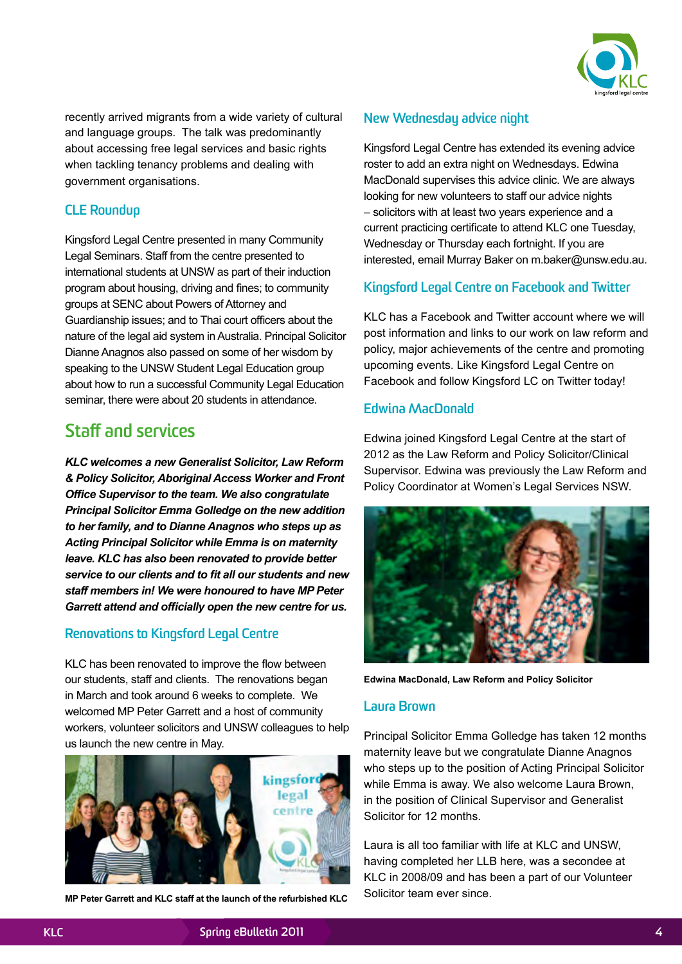

recently arrived migrants from a wide variety of cultural and language groups. The talk was predominantly about accessing free legal services and basic rights when tackling tenancy problems and dealing with government organisations.

#### **CLE Roundup**

Kingsford Legal Centre presented in many Community Legal Seminars. Staff from the centre presented to international students at UNSW as part of their induction program about housing, driving and fines; to community groups at SENC about Powers of Attorney and Guardianship issues; and to Thai court officers about the nature of the legal aid system in Australia. Principal Solicitor Dianne Anagnos also passed on some of her wisdom by speaking to the UNSW Student Legal Education group about how to run a successful Community Legal Education seminar, there were about 20 students in attendance.

## **Staff and services**

*KLC welcomes a new Generalist Solicitor, Law Reform & Policy Solicitor, Aboriginal Access Worker and Front Office Supervisor to the team. We also congratulate Principal Solicitor Emma Golledge on the new addition to her family, and to Dianne Anagnos who steps up as Acting Principal Solicitor while Emma is on maternity leave. KLC has also been renovated to provide better service to our clients and to fit all our students and new staff members in! We were honoured to have MP Peter Garrett attend and officially open the new centre for us.*

#### **Renovations to Kingsford Legal Centre**

KLC has been renovated to improve the flow between our students, staff and clients. The renovations began in March and took around 6 weeks to complete. We welcomed MP Peter Garrett and a host of community workers, volunteer solicitors and UNSW colleagues to help us launch the new centre in May.



**MP Peter Garrett and KLC staff at the launch of the refurbished KLC**

#### **New Wednesday advice night**

Kingsford Legal Centre has extended its evening advice roster to add an extra night on Wednesdays. Edwina MacDonald supervises this advice clinic. We are always looking for new volunteers to staff our advice nights – solicitors with at least two years experience and a current practicing certificate to attend KLC one Tuesday, Wednesday or Thursday each fortnight. If you are interested, email Murray Baker on [m.baker@unsw.edu.au](mailto:m.baker@unsw.edu.au).

#### **Kingsford Legal Centre on Facebook and Twitter**

KLC has a Facebook and Twitter account where we will post information and links to our work on law reform and policy, major achievements of the centre and promoting upcoming events. Like [Kingsford Legal Centre](http://www.facebook.com/pages/Kingsford-Legal-Centre/123259437748652) on Facebook and follow Kingsford LC on Twitter today!

#### **Edwina MacDonald**

Edwina joined Kingsford Legal Centre at the start of 2012 as the Law Reform and Policy Solicitor/Clinical Supervisor. Edwina was previously the Law Reform and Policy Coordinator at Women's Legal Services NSW.



**Edwina MacDonald, Law Reform and Policy Solicitor**

#### **Laura Brown**

Principal Solicitor Emma Golledge has taken 12 months maternity leave but we congratulate Dianne Anagnos who steps up to the position of Acting Principal Solicitor while Emma is away. We also welcome Laura Brown, in the position of Clinical Supervisor and Generalist Solicitor for 12 months.

Laura is all too familiar with life at KLC and UNSW, having completed her LLB here, was a secondee at KLC in 2008/09 and has been a part of our Volunteer Solicitor team ever since.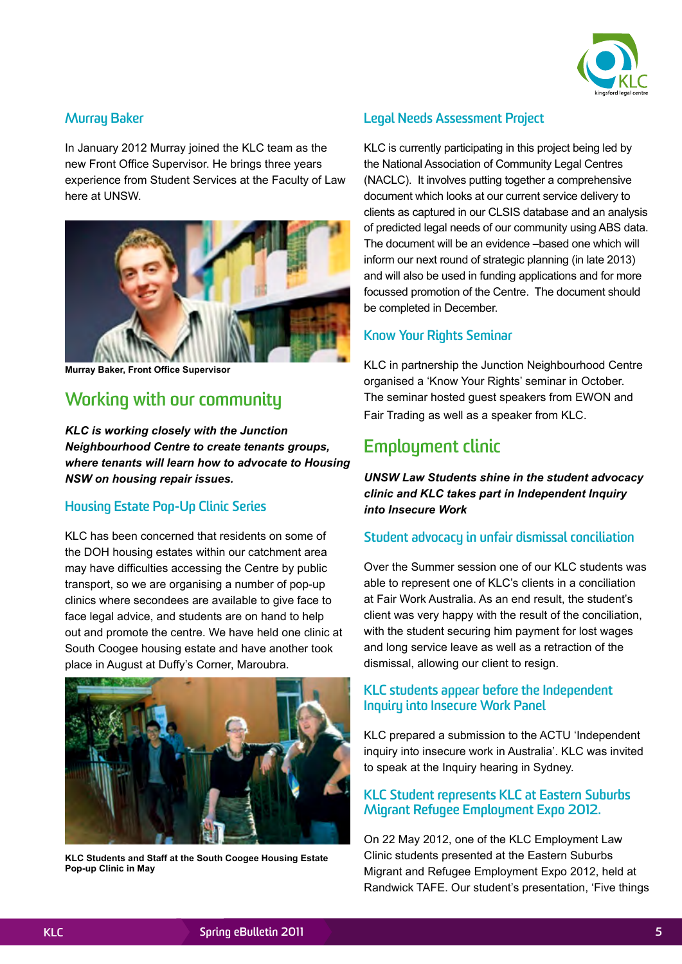

#### **Murray Baker**

In January 2012 Murray joined the KLC team as the new Front Office Supervisor. He brings three years experience from Student Services at the Faculty of Law here at UNSW.



**Murray Baker, Front Office Supervisor**

## **Working with our community**

*KLC is working closely with the Junction Neighbourhood Centre to create tenants groups, where tenants will learn how to advocate to Housing NSW on housing repair issues.*

#### **Housing Estate Pop-Up Clinic Series**

KLC has been concerned that residents on some of the DOH housing estates within our catchment area may have difficulties accessing the Centre by public transport, so we are organising a number of pop-up clinics where secondees are available to give face to face legal advice, and students are on hand to help out and promote the centre. We have held one clinic at South Coogee housing estate and have another took place in August at Duffy's Corner, Maroubra.



**KLC Students and Staff at the South Coogee Housing Estate Pop-up Clinic in May**

#### **Legal Needs Assessment Project**

KLC is currently participating in this project being led by the National Association of Community Legal Centres (NACLC). It involves putting together a comprehensive document which looks at our current service delivery to clients as captured in our CLSIS database and an analysis of predicted legal needs of our community using ABS data. The document will be an evidence –based one which will inform our next round of strategic planning (in late 2013) and will also be used in funding applications and for more focussed promotion of the Centre. The document should be completed in December.

#### **Know Your Rights Seminar**

KLC in partnership the Junction Neighbourhood Centre organised a 'Know Your Rights' seminar in October. The seminar hosted guest speakers from EWON and Fair Trading as well as a speaker from KLC.

### **Employment clinic**

*UNSW Law Students shine in the student advocacy clinic and KLC takes part in Independent Inquiry into Insecure Work*

#### **Student advocacy in unfair dismissal conciliation**

Over the Summer session one of our KLC students was able to represent one of KLC's clients in a conciliation at Fair Work Australia. As an end result, the student's client was very happy with the result of the conciliation, with the student securing him payment for lost wages and long service leave as well as a retraction of the dismissal, allowing our client to resign.

#### **KLC students appear before the Independent Inquiry into Insecure Work Panel**

KLC prepared a submission to the ACTU 'Independent inquiry into insecure work in Australia'. KLC was invited to speak at the Inquiry hearing in Sydney.

#### **KLC Student represents KLC at Eastern Suburbs Migrant Refugee Employment Expo 2012.**

On 22 May 2012, one of the KLC Employment Law Clinic students presented at the Eastern Suburbs Migrant and Refugee Employment Expo 2012, held at Randwick TAFE. Our student's presentation, 'Five things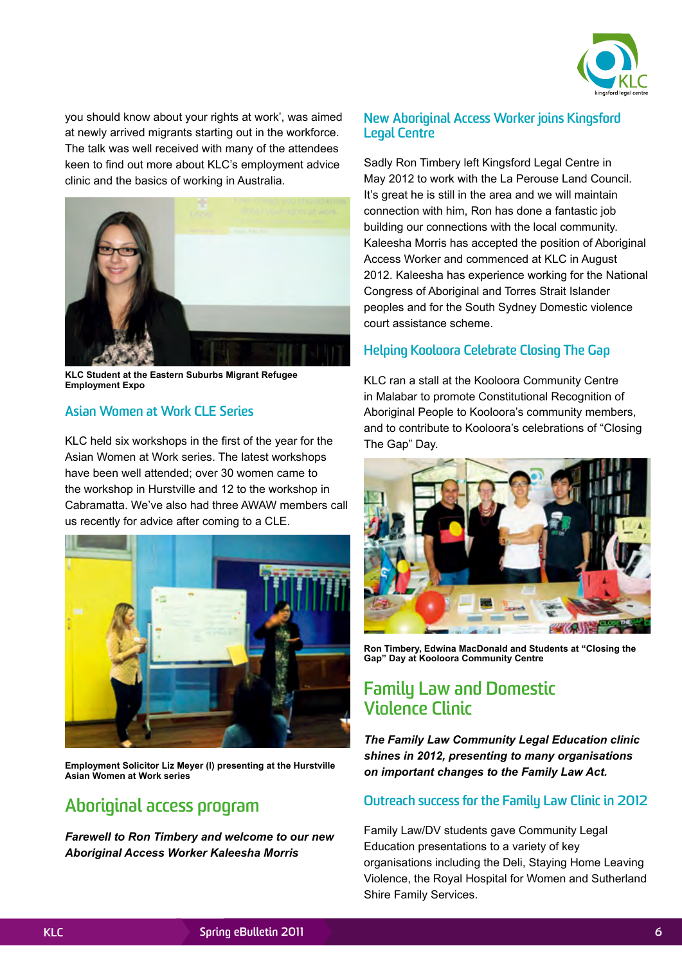

you should know about your rights at work', was aimed at newly arrived migrants starting out in the workforce. The talk was well received with many of the attendees keen to find out more about KLC's employment advice clinic and the basics of working in Australia.



**KLC Student at the Eastern Suburbs Migrant Refugee Employment Expo**

#### **Asian Women at Work CLE Series**

KLC held six workshops in the first of the year for the Asian Women at Work series. The latest workshops have been well attended; over 30 women came to the workshop in Hurstville and 12 to the workshop in Cabramatta. We've also had three AWAW members call us recently for advice after coming to a CLE.



**Employment Solicitor Liz Meyer (l) presenting at the Hurstville Asian Women at Work series**

## **Aboriginal access program**

*Farewell to Ron Timbery and welcome to our new Aboriginal Access Worker Kaleesha Morris*

#### **New Aboriginal Access Worker joins Kingsford Legal Centre**

Sadly Ron Timbery left Kingsford Legal Centre in May 2012 to work with the La Perouse Land Council. It's great he is still in the area and we will maintain connection with him, Ron has done a fantastic job building our connections with the local community. Kaleesha Morris has accepted the position of Aboriginal Access Worker and commenced at KLC in August 2012. Kaleesha has experience working for the National Congress of Aboriginal and Torres Strait Islander peoples and for the South Sydney Domestic violence court assistance scheme.

#### **Helping Kooloora Celebrate Closing The Gap**

KLC ran a stall at the Kooloora Community Centre in Malabar to promote Constitutional Recognition of Aboriginal People to Kooloora's community members, and to contribute to Kooloora's celebrations of "Closing The Gap" Day.



**Ron Timbery, Edwina MacDonald and Students at "Closing the Gap" Day at Kooloora Community Centre**

## **Family Law and Domestic Violence Clinic**

*The Family Law Community Legal Education clinic shines in 2012, presenting to many organisations on important changes to the Family Law Act.* 

#### **Outreach success for the Family Law Clinic in 2012**

Family Law/DV students gave Community Legal Education presentations to a variety of key organisations including the Deli, Staying Home Leaving Violence, the Royal Hospital for Women and Sutherland Shire Family Services.